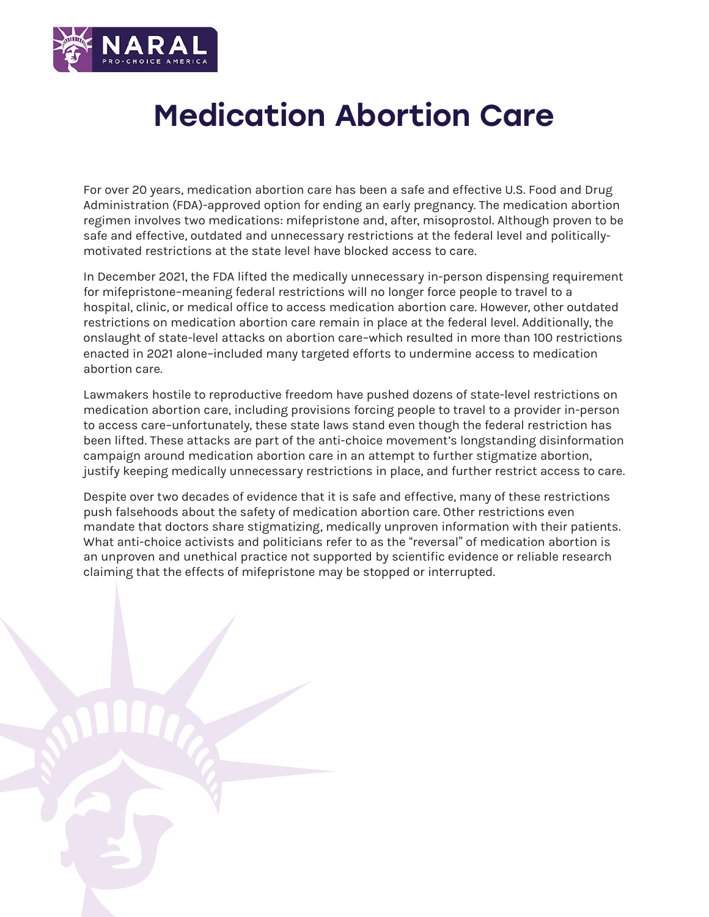

# Medication Abortion Care

For over 20 years, medication abortion care has been a safe and effective U.S. Food and Drug Administration (FDA)-approved option for ending an early pregnancy. The medication abortion regimen involves two medications: mifepristone and, after, misoprostol. Although proven to be safe and effective, outdated and unnecessary restrictions at the federal level and politicallymotivated restrictions at the state level have blocked access to care.

In December 2021, the FDA lifted the medically unnecessary in-person dispensing requirement for mifepristone–meaning federal restrictions will no longer force people to travel to a hospital, clinic, or medical office to access medication abortion care. However, other outdated restrictions on medication abortion care remain in place at the federal level. Additionally, the onslaught of state-level attacks on abortion care–which resulted in more than 100 restrictions enacted in 2021 alone–included many targeted efforts to undermine access to medication abortion care.

Lawmakers hostile to reproductive freedom have pushed dozens of state-level restrictions on medication abortion care, including provisions forcing people to travel to a provider in-person to access care–unfortunately, these state laws stand even though the federal restriction has been lifted. These attacks are part of the anti-choice movement's longstanding disinformation campaign around medication abortion care in an attempt to further stigmatize abortion, justify keeping medically unnecessary restrictions in place, and further restrict access to care.

Despite over two decades of evidence that it is safe and effective, many of these restrictions push falsehoods about the safety of medication abortion care. Other restrictions even mandate that doctors share stigmatizing, medically unproven information with their patients. What anti-choice activists and politicians refer to as the "reversal" of medication abortion is an unproven and unethical practice not supported by scientific evidence or reliable research claiming that the effects of mifepristone may be stopped or interrupted.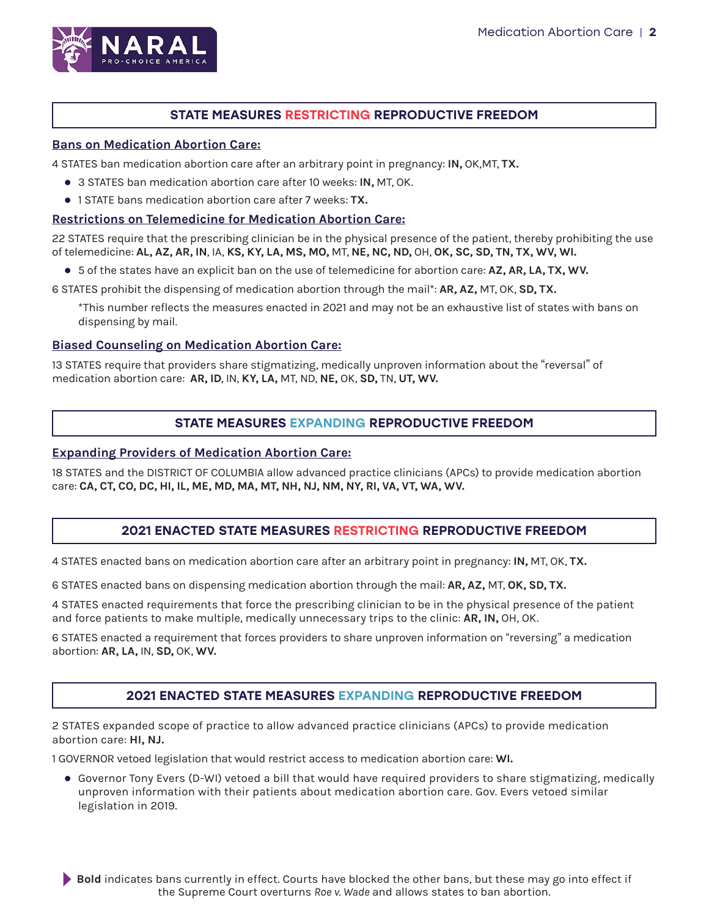

## STATE MEASURES RESTRICTING REPRODUCTIVE FREEDOM

#### **Bans on Medication Abortion Care:**

4 STATES ban medication abortion care after an arbitrary point in pregnancy: **IN,** OK,MT, **TX.**

- **3 STATES ban medication abortion care after 10 weeks: IN, MT, OK.**
- 1 STATE bans medication abortion care after 7 weeks: **TX.**

### **Restrictions on Telemedicine for Medication Abortion Care:**

22 STATES require that the prescribing clinician be in the physical presence of the patient, thereby prohibiting the use of telemedicine: **AL, AZ, AR, IN**, IA, **KS, KY, LA, MS, MO,** MT, **NE, NC, ND,** OH, **OK, SC, SD, TN, TX, WV, WI.**

**•** 5 of the states have an explicit ban on the use of telemedicine for abortion care: AZ, AR, LA, TX, WV.

6 STATES prohibit the dispensing of medication abortion through the mail\*: **AR, AZ,** MT, OK, **SD, TX.**

\*This number reflects the measures enacted in 2021 and may not be an exhaustive list of states with bans on dispensing by mail.

#### **Biased Counseling on Medication Abortion Care:**

13 STATES require that providers share stigmatizing, medically unproven information about the "reversal" of medication abortion care: **AR, ID**, IN, **KY, LA,** MT, ND, **NE,** OK, **SD,** TN, **UT, WV.**

## STATE MEASURES EXPANDING REPRODUCTIVE FREEDOM

#### **Expanding Providers of Medication Abortion Care:**

18 STATES and the DISTRICT OF COLUMBIA allow advanced practice clinicians (APCs) to provide medication abortion care: **CA, CT, CO, DC, HI, IL, ME, MD, MA, MT, NH, NJ, NM, NY, RI, VA, VT, WA, WV.**

## 2021 ENACTED STATE MEASURES RESTRICTING REPRODUCTIVE FREEDOM

4 STATES enacted bans on medication abortion care after an arbitrary point in pregnancy: **IN,** MT, OK, **TX.**

6 STATES enacted bans on dispensing medication abortion through the mail: **AR, AZ,** MT, **OK, SD, TX.** 

4 STATES enacted requirements that force the prescribing clinician to be in the physical presence of the patient and force patients to make multiple, medically unnecessary trips to the clinic: **AR, IN,** OH, OK.

6 STATES enacted a requirement that forces providers to share unproven information on "reversing" a medication abortion: **AR, LA,** IN, **SD,** OK, **WV.**

## 2021 ENACTED STATE MEASURES EXPANDING REPRODUCTIVE FREEDOM

2 STATES expanded scope of practice to allow advanced practice clinicians (APCs) to provide medication abortion care: **HI, NJ.**

1 GOVERNOR vetoed legislation that would restrict access to medication abortion care: **WI.**

• Governor Tony Evers (D-WI) vetoed a bill that would have required providers to share stigmatizing, medically unproven information with their patients about medication abortion care. Gov. Evers vetoed similar legislation in 2019.